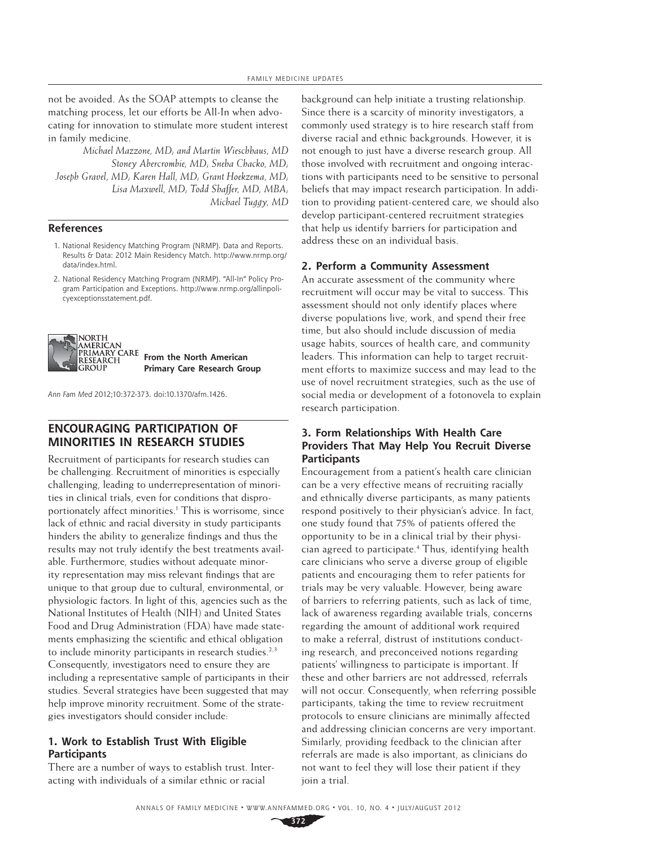not be avoided. As the SOAP attempts to cleanse the matching process, let our efforts be All-In when advocating for innovation to stimulate more student interest in family medicine.

*Michael Mazzone, MD; and Martin Wieschhaus, MD Stoney Abercrombie, MD; Sneha Chacko, MD; Joseph Gravel, MD; Karen Hall, MD; Grant Hoekzema, MD; Lisa Maxwell, MD; Todd Shaffer, MD, MBA; Michael Tuggy, MD*

### **References**

- 1. National Residency Matching Program (NRMP). Data and Reports. Results & Data: 2012 Main Residency Match. http://www.nrmp.org/ data/index.html.
- 2. National Residency Matching Program (NRMP). "All-In" Policy Program Participation and Exceptions. http://www.nrmp.org/allinpolicyexceptionsstatement.pdf.



# **From the North American Primary Care Research Group**

Ann Fam Med 2012;10:372-373. doi:10.1370/afm.1426.

# **ENCOURAGING PARTICIPATION OF MINORITIES IN RESEARCH STUDIES**

Recruitment of participants for research studies can be challenging. Recruitment of minorities is especially challenging, leading to underrepresentation of minorities in clinical trials, even for conditions that disproportionately affect minorities.<sup>1</sup> This is worrisome, since lack of ethnic and racial diversity in study participants hinders the ability to generalize findings and thus the results may not truly identify the best treatments available. Furthermore, studies without adequate minority representation may miss relevant findings that are unique to that group due to cultural, environmental, or physiologic factors. In light of this, agencies such as the National Institutes of Health (NIH) and United States Food and Drug Administration (FDA) have made statements emphasizing the scientific and ethical obligation to include minority participants in research studies. $2,3$ Consequently, investigators need to ensure they are including a representative sample of participants in their studies. Several strategies have been suggested that may help improve minority recruitment. Some of the strategies investigators should consider include:

## **1. Work to Establish Trust With Eligible Participants**

There are a number of ways to establish trust. Interacting with individuals of a similar ethnic or racial

background can help initiate a trusting relationship. Since there is a scarcity of minority investigators, a commonly used strategy is to hire research staff from diverse racial and ethnic backgrounds. However, it is not enough to just have a diverse research group. All those involved with recruitment and ongoing interactions with participants need to be sensitive to personal beliefs that may impact research participation. In addition to providing patient-centered care, we should also develop participant-centered recruitment strategies that help us identify barriers for participation and address these on an individual basis.

### **2. Perform a Community Assessment**

An accurate assessment of the community where recruitment will occur may be vital to success. This assessment should not only identify places where diverse populations live, work, and spend their free time, but also should include discussion of media usage habits, sources of health care, and community leaders. This information can help to target recruitment efforts to maximize success and may lead to the use of novel recruitment strategies, such as the use of social media or development of a fotonovela to explain research participation.

## **3. Form Relationships With Health Care Providers That May Help You Recruit Diverse Participants**

Encouragement from a patient's health care clinician can be a very effective means of recruiting racially and ethnically diverse participants, as many patients respond positively to their physician's advice. In fact, one study found that 75% of patients offered the opportunity to be in a clinical trial by their physician agreed to participate.4 Thus, identifying health care clinicians who serve a diverse group of eligible patients and encouraging them to refer patients for trials may be very valuable. However, being aware of barriers to referring patients, such as lack of time, lack of awareness regarding available trials, concerns regarding the amount of additional work required to make a referral, distrust of institutions conducting research, and preconceived notions regarding patients' willingness to participate is important. If these and other barriers are not addressed, referrals will not occur. Consequently, when referring possible participants, taking the time to review recruitment protocols to ensure clinicians are minimally affected and addressing clinician concerns are very important. Similarly, providing feedback to the clinician after referrals are made is also important, as clinicians do not want to feel they will lose their patient if they join a trial.